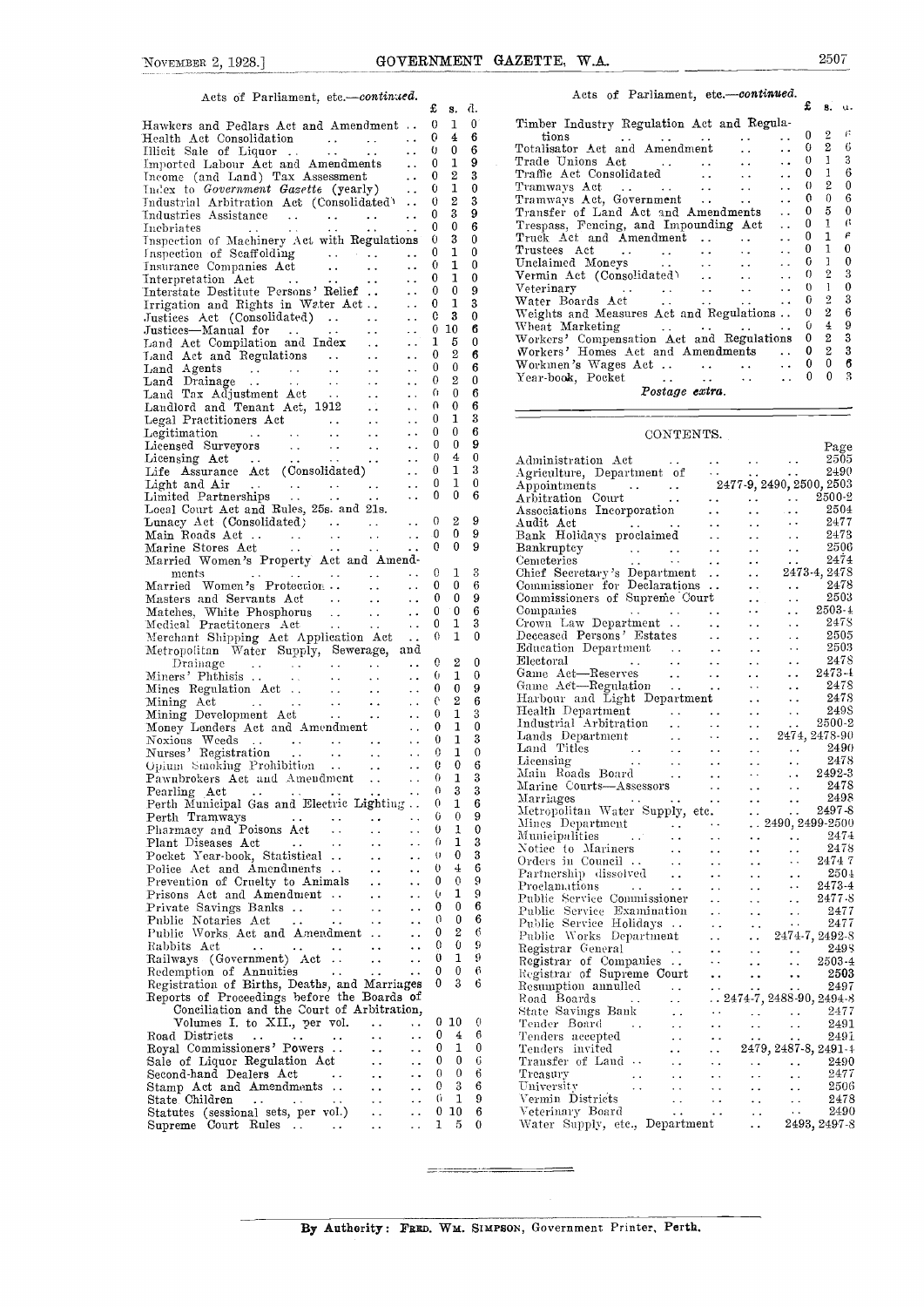## Acts of Parliament, etc.-continued.  $\mathbf{f}$  s. d.

| Hawkers and Pedlars Act and Amendment  0 1 0                                                                                                                                                                                                                                                                                            |          |                  |                          | Timber Industry Regulation Act and Regula-                                                                                                                                                                                                                                                                                                                                                                                                                                  |
|-----------------------------------------------------------------------------------------------------------------------------------------------------------------------------------------------------------------------------------------------------------------------------------------------------------------------------------------|----------|------------------|--------------------------|-----------------------------------------------------------------------------------------------------------------------------------------------------------------------------------------------------------------------------------------------------------------------------------------------------------------------------------------------------------------------------------------------------------------------------------------------------------------------------|
| Health Act Consolidation  0 4 6                                                                                                                                                                                                                                                                                                         |          |                  |                          | 一体                                                                                                                                                                                                                                                                                                                                                                                                                                                                          |
|                                                                                                                                                                                                                                                                                                                                         |          |                  |                          | $\begin{tabular}{ccc} tions & . & . & . & . & . & 0 & 2 \\ \hline \texttt{Totalisator Act and Amendment} & . & . & . & 0 & 2 \\ \end{tabular}$<br>-6                                                                                                                                                                                                                                                                                                                        |
| Illieit Sale of Liquor 0 0 6                                                                                                                                                                                                                                                                                                            |          |                  |                          | 3                                                                                                                                                                                                                                                                                                                                                                                                                                                                           |
|                                                                                                                                                                                                                                                                                                                                         |          |                  |                          | 6                                                                                                                                                                                                                                                                                                                                                                                                                                                                           |
|                                                                                                                                                                                                                                                                                                                                         |          |                  |                          |                                                                                                                                                                                                                                                                                                                                                                                                                                                                             |
| Imported Labour Act and Amendments  0 1 9<br>Income (and Land) Tax Assessment  0 2 3<br>Index to Government Gasette (yearly)  0 1 0                                                                                                                                                                                                     |          |                  |                          | $\theta$                                                                                                                                                                                                                                                                                                                                                                                                                                                                    |
| Industrial Arbitration Act (Consolidated)  0 2 3                                                                                                                                                                                                                                                                                        |          |                  |                          | 6                                                                                                                                                                                                                                                                                                                                                                                                                                                                           |
| Industries Assistance<br>Incoriates<br>$\begin{bmatrix} 0 & 3 \\ 0 & 0 \end{bmatrix}$                                                                                                                                                                                                                                                   |          |                  | 9                        | $\bf{0}$                                                                                                                                                                                                                                                                                                                                                                                                                                                                    |
|                                                                                                                                                                                                                                                                                                                                         |          |                  | 6                        | -6<br>Trespass, Fencing, and Impounding Act  0<br>-1                                                                                                                                                                                                                                                                                                                                                                                                                        |
| Inspection of Machinery Act with Regulations 0 3                                                                                                                                                                                                                                                                                        |          |                  | $\bf{0}$                 | $\epsilon$<br>Truck Act and Amendment  0<br>$\mathbf{1}$                                                                                                                                                                                                                                                                                                                                                                                                                    |
| Inspection of Scaffolding<br>Insurance Companies Act (10 1 0<br>Insurance Companies Act (10 1 0<br>Interpretation Act (10 1 0 1 0 1 0 1 0 1 1 0 1<br>Interstate Destitute Persons' Relief (10 1 0 9 1 1 0 1 1 0 1 1 1 1<br>Interstate De                                                                                                |          |                  |                          | $\bf{0}$                                                                                                                                                                                                                                                                                                                                                                                                                                                                    |
|                                                                                                                                                                                                                                                                                                                                         |          |                  |                          | 0                                                                                                                                                                                                                                                                                                                                                                                                                                                                           |
|                                                                                                                                                                                                                                                                                                                                         |          |                  |                          | 3                                                                                                                                                                                                                                                                                                                                                                                                                                                                           |
|                                                                                                                                                                                                                                                                                                                                         |          |                  |                          |                                                                                                                                                                                                                                                                                                                                                                                                                                                                             |
|                                                                                                                                                                                                                                                                                                                                         |          |                  |                          | $\bf{0}$                                                                                                                                                                                                                                                                                                                                                                                                                                                                    |
|                                                                                                                                                                                                                                                                                                                                         |          |                  |                          | 3                                                                                                                                                                                                                                                                                                                                                                                                                                                                           |
|                                                                                                                                                                                                                                                                                                                                         |          |                  |                          | Weights and Measures Act and Regulations  0 2                                                                                                                                                                                                                                                                                                                                                                                                                               |
|                                                                                                                                                                                                                                                                                                                                         |          |                  |                          | Wheat Marketing     0 4 9                                                                                                                                                                                                                                                                                                                                                                                                                                                   |
|                                                                                                                                                                                                                                                                                                                                         |          |                  |                          | Workers' Compensation Act and Regulations 0 2 3                                                                                                                                                                                                                                                                                                                                                                                                                             |
|                                                                                                                                                                                                                                                                                                                                         |          |                  |                          | Workers' Homes Act and Amendments  0 2 3                                                                                                                                                                                                                                                                                                                                                                                                                                    |
|                                                                                                                                                                                                                                                                                                                                         |          |                  |                          |                                                                                                                                                                                                                                                                                                                                                                                                                                                                             |
|                                                                                                                                                                                                                                                                                                                                         |          |                  |                          |                                                                                                                                                                                                                                                                                                                                                                                                                                                                             |
|                                                                                                                                                                                                                                                                                                                                         |          |                  |                          |                                                                                                                                                                                                                                                                                                                                                                                                                                                                             |
|                                                                                                                                                                                                                                                                                                                                         |          |                  |                          | Postage extra.                                                                                                                                                                                                                                                                                                                                                                                                                                                              |
|                                                                                                                                                                                                                                                                                                                                         |          |                  |                          |                                                                                                                                                                                                                                                                                                                                                                                                                                                                             |
|                                                                                                                                                                                                                                                                                                                                         |          |                  |                          |                                                                                                                                                                                                                                                                                                                                                                                                                                                                             |
|                                                                                                                                                                                                                                                                                                                                         |          |                  |                          |                                                                                                                                                                                                                                                                                                                                                                                                                                                                             |
|                                                                                                                                                                                                                                                                                                                                         |          |                  |                          | CONTENTS.                                                                                                                                                                                                                                                                                                                                                                                                                                                                   |
|                                                                                                                                                                                                                                                                                                                                         |          |                  |                          | Page<br>$\begin{tabular}{l c c c} \multicolumn{1}{c}{Administration Act} & \multicolumn{1}{c}{Page} \multicolumn{1}{c}{\textbf{Page}} \\ \multicolumn{1}{c}{Aspionitments} & \multicolumn{1}{c}{\textbf{Appointments}} & 2477-9, 2490, 2500, 2503 \\ \multicolumn{1}{c}{Arbionitments} & \multicolumn{1}{c}{\textbf{Arbitration} } \text{Court} & \multicolumn{1}{c}{\textbf{Case 2500}} & 2490, 2500.2 \\ \multicolumn{1}{c}{Associations Incorporation} & \multicolumn{1$ |
|                                                                                                                                                                                                                                                                                                                                         |          |                  |                          |                                                                                                                                                                                                                                                                                                                                                                                                                                                                             |
|                                                                                                                                                                                                                                                                                                                                         |          |                  |                          |                                                                                                                                                                                                                                                                                                                                                                                                                                                                             |
|                                                                                                                                                                                                                                                                                                                                         |          |                  |                          |                                                                                                                                                                                                                                                                                                                                                                                                                                                                             |
|                                                                                                                                                                                                                                                                                                                                         |          |                  |                          |                                                                                                                                                                                                                                                                                                                                                                                                                                                                             |
|                                                                                                                                                                                                                                                                                                                                         |          |                  |                          |                                                                                                                                                                                                                                                                                                                                                                                                                                                                             |
|                                                                                                                                                                                                                                                                                                                                         |          |                  |                          |                                                                                                                                                                                                                                                                                                                                                                                                                                                                             |
|                                                                                                                                                                                                                                                                                                                                         |          |                  |                          |                                                                                                                                                                                                                                                                                                                                                                                                                                                                             |
|                                                                                                                                                                                                                                                                                                                                         |          |                  |                          |                                                                                                                                                                                                                                                                                                                                                                                                                                                                             |
|                                                                                                                                                                                                                                                                                                                                         |          |                  |                          |                                                                                                                                                                                                                                                                                                                                                                                                                                                                             |
| Married Women's Property Act and Amend-                                                                                                                                                                                                                                                                                                 |          |                  |                          |                                                                                                                                                                                                                                                                                                                                                                                                                                                                             |
|                                                                                                                                                                                                                                                                                                                                         |          |                  |                          |                                                                                                                                                                                                                                                                                                                                                                                                                                                                             |
|                                                                                                                                                                                                                                                                                                                                         |          |                  |                          |                                                                                                                                                                                                                                                                                                                                                                                                                                                                             |
|                                                                                                                                                                                                                                                                                                                                         |          |                  |                          |                                                                                                                                                                                                                                                                                                                                                                                                                                                                             |
| Masters and Servants Act (1996) 0 0 9                                                                                                                                                                                                                                                                                                   |          |                  |                          |                                                                                                                                                                                                                                                                                                                                                                                                                                                                             |
| Matches, White Phosphorus   0 0                                                                                                                                                                                                                                                                                                         |          |                  | $-6$                     |                                                                                                                                                                                                                                                                                                                                                                                                                                                                             |
| Medical Practitoners Act  0 1 3                                                                                                                                                                                                                                                                                                         |          |                  |                          |                                                                                                                                                                                                                                                                                                                                                                                                                                                                             |
|                                                                                                                                                                                                                                                                                                                                         |          |                  | $\bf{0}$                 |                                                                                                                                                                                                                                                                                                                                                                                                                                                                             |
| Merchant Shipping Act Application Act  0 1                                                                                                                                                                                                                                                                                              |          |                  |                          | Deceased Persons' Estates<br>Education Department<br>Electoral<br>Game Act—Reserves<br>$\begin{array}{ccc}\n & \cdots & \cdots & \cdots & \cdots & 2505 \\ \text{Eletoral} & \cdots & \cdots & \cdots & \cdots & 2473-1 \\  & \cdots & \cdots & \cdots & \cdots & 2473-1 \\  & \cdots & \cdots & \cdots & \cdots & 2473-1\n\end{array}$                                                                                                                                     |
| Metropolitan Water Supply, Sewerage, and                                                                                                                                                                                                                                                                                                |          |                  |                          |                                                                                                                                                                                                                                                                                                                                                                                                                                                                             |
| Drainage $\cdots$ $\cdots$ $\cdots$ $\cdots$ $\cdots$ $\cdots$ $\cdots$ $\cdots$ $\cdots$ $\cdots$ $\cdots$ $\cdots$ $\cdots$ $\cdots$ $\cdots$ $\cdots$ $\cdots$ $\cdots$ $\cdots$ $\cdots$ $\cdots$ $\cdots$ $\cdots$ $\cdots$ $\cdots$ $\cdots$ $\cdots$ $\cdots$ $\cdots$ $\cdots$ $\cdots$ $\cdots$ $\cdots$ $\cdots$ $\cdots$ $\$ |          |                  | $\overline{\phantom{0}}$ |                                                                                                                                                                                                                                                                                                                                                                                                                                                                             |
|                                                                                                                                                                                                                                                                                                                                         |          |                  | $\overline{0}$           |                                                                                                                                                                                                                                                                                                                                                                                                                                                                             |
|                                                                                                                                                                                                                                                                                                                                         |          |                  |                          |                                                                                                                                                                                                                                                                                                                                                                                                                                                                             |
|                                                                                                                                                                                                                                                                                                                                         |          |                  |                          |                                                                                                                                                                                                                                                                                                                                                                                                                                                                             |
|                                                                                                                                                                                                                                                                                                                                         |          |                  |                          |                                                                                                                                                                                                                                                                                                                                                                                                                                                                             |
|                                                                                                                                                                                                                                                                                                                                         |          |                  |                          |                                                                                                                                                                                                                                                                                                                                                                                                                                                                             |
|                                                                                                                                                                                                                                                                                                                                         |          |                  |                          |                                                                                                                                                                                                                                                                                                                                                                                                                                                                             |
|                                                                                                                                                                                                                                                                                                                                         |          |                  |                          |                                                                                                                                                                                                                                                                                                                                                                                                                                                                             |
| Mines Regulation Act<br>Mining Act<br>Mining Act<br>Mining Development Act<br>Mining Development Act<br>Mining Development Act<br>Money Lenders Act and Amendment<br>Noxious Weeds<br>Murses' Registration<br>Murses' Registration<br>Murses' Regi                                                                                      |          |                  |                          |                                                                                                                                                                                                                                                                                                                                                                                                                                                                             |
| Opium Smoking Prohibition  0 0 6<br>Pawnbrokers Act and Amendment  0 1 3                                                                                                                                                                                                                                                                |          |                  |                          |                                                                                                                                                                                                                                                                                                                                                                                                                                                                             |
|                                                                                                                                                                                                                                                                                                                                         |          |                  |                          |                                                                                                                                                                                                                                                                                                                                                                                                                                                                             |
|                                                                                                                                                                                                                                                                                                                                         |          |                  | 3                        |                                                                                                                                                                                                                                                                                                                                                                                                                                                                             |
|                                                                                                                                                                                                                                                                                                                                         |          |                  |                          |                                                                                                                                                                                                                                                                                                                                                                                                                                                                             |
|                                                                                                                                                                                                                                                                                                                                         |          |                  | 6                        |                                                                                                                                                                                                                                                                                                                                                                                                                                                                             |
| Perth Tramways<br><b>Contractor</b><br>$\ddot{\phantom{0}}$<br>$\sim$ $\sim$                                                                                                                                                                                                                                                            | 0        | $\mathbf{0}$     | -9                       | $\ldots$ 2490, 2499-2500<br>Mines Department<br>$\sim$ $\sim$                                                                                                                                                                                                                                                                                                                                                                                                               |
| Pharmacy and Poisons Act<br>$\sim$ $\sim$                                                                                                                                                                                                                                                                                               | $\theta$ | 1                | $\theta$                 | $\ddotsc$                                                                                                                                                                                                                                                                                                                                                                                                                                                                   |
| Plant Diseases Act<br>$\mathbf{1}$ , and $\mathbf{1}$ , and $\mathbf{1}$<br>$\ddot{\phantom{a}}$                                                                                                                                                                                                                                        | 0        | 1                | 3                        | Municipalities<br>$\sim 100$<br>2474<br>$\ddot{\phantom{a}}$<br>$\ddotsc$<br>$\ddot{\phantom{a}}$ .<br>$\ddotsc$                                                                                                                                                                                                                                                                                                                                                            |
| Pocket Year-book, Statistical<br>$\ddot{\phantom{a}}$<br>$\ddot{\phantom{0}}$                                                                                                                                                                                                                                                           | $\theta$ | $\bf{0}$         | 3                        | Notice to Mariners<br>2478<br>$\ddot{\phantom{0}}$<br>$\sim 10^{-1}$<br>$\ddot{\phantom{0}}$<br>$\sim$ $\sim$                                                                                                                                                                                                                                                                                                                                                               |
|                                                                                                                                                                                                                                                                                                                                         | $\theta$ | 4                | -6                       | Orders in Council<br>24747<br>$\sim 10^{-1}$<br>$\sim$ $\sim$<br>$\star$ $\star$<br>$\ddot{\phantom{0}}$                                                                                                                                                                                                                                                                                                                                                                    |
| Police Act and Amendments<br>$\sim 10^{-1}$<br>$\ddotsc$                                                                                                                                                                                                                                                                                |          |                  |                          | $250+$<br>Partnership dissolved<br>$\sim 10^{-1}$<br>$\ddot{\phantom{0}}$<br>$\sim$ $\sim$<br>$\ddot{\phantom{1}}$ .                                                                                                                                                                                                                                                                                                                                                        |
| Prevention of Cruelty to Animals<br>$\sim 10^{-1}$<br>$\ddot{\phantom{0}}$                                                                                                                                                                                                                                                              | 0        | $\mathbf 0$      | 9                        | 2473-4<br><b>Proclamations</b><br>$\sim 100$ km s $^{-1}$<br>$\sim 10^{-1}$<br>$\sim$<br>$\sim$ $\sim$<br>$\sim$ $\sim$                                                                                                                                                                                                                                                                                                                                                     |
| Prisons Act and Amendment<br>$\ddotsc$<br>$\ddot{\phantom{0}}$                                                                                                                                                                                                                                                                          | €        | 1                | 9                        | Public Service Commissioner<br>2477-8<br>$\ddotsc$<br>$\sim$ $\sim$<br>$\sim$ $\sim$                                                                                                                                                                                                                                                                                                                                                                                        |
| Private Savings Banks<br>$\sim$<br>$\ddot{\phantom{1}}$                                                                                                                                                                                                                                                                                 | 0        | $\bf{0}$         | 6                        | Public Service Examination<br>2477<br>$\sim$ $\sim$                                                                                                                                                                                                                                                                                                                                                                                                                         |
| Public Notaries Act<br>$\ddot{\phantom{0}}$<br><b>Carl Contractor</b><br>$\ddot{\phantom{a}}$                                                                                                                                                                                                                                           | 0        | $\mathbf{0}$     | 6                        | $\ddot{\phantom{a}}$ .<br>$\ddot{\phantom{1}}$ .                                                                                                                                                                                                                                                                                                                                                                                                                            |
| Public Works Act and Amendment<br>$\ddot{\phantom{a}}$                                                                                                                                                                                                                                                                                  | 0        | $\boldsymbol{2}$ | -6                       | Public Service Holidays<br>2477<br>$\sim$ $\sim$<br>$\ddot{\phantom{0}}$ .<br>$\ddotsc$                                                                                                                                                                                                                                                                                                                                                                                     |
|                                                                                                                                                                                                                                                                                                                                         |          | $\mathbf 0$      |                          | Public Works Department<br>2474-7, 2492-8<br>$\sim 10^{-1}$<br>$\sim$ $\sim$                                                                                                                                                                                                                                                                                                                                                                                                |
| Rabbits Act<br>المحارب المحارب المحارب المحارب<br>$\ddot{\phantom{0}}$                                                                                                                                                                                                                                                                  | 0        |                  | 9                        | Registrar General<br>2495<br>$\sim 100$<br>$\ddot{\phantom{a}}$ .<br>$\ddot{\phantom{0}}$<br>$\ddotsc$                                                                                                                                                                                                                                                                                                                                                                      |
| Railways (Government) Act<br>$\sim$ $\sim$<br>$\ddot{\phantom{a}}$                                                                                                                                                                                                                                                                      | $\bf{0}$ | 1                | 9                        | Registrar of Companies<br>$\sim$ $\sim$<br>2503-4<br>$\ddot{\phantom{a}}$<br>$\ddot{\phantom{a}}$                                                                                                                                                                                                                                                                                                                                                                           |
| Redemption of Annuities<br>$\sim 10$ km s $^{-1}$<br>$\ddot{\phantom{1}}$                                                                                                                                                                                                                                                               | $\bf{0}$ | $\boldsymbol{0}$ | -6                       | Registrar of Supreme Court<br>$\ddotsc$<br>2503<br>$\sim$ .<br>$\ddotsc$                                                                                                                                                                                                                                                                                                                                                                                                    |
| Registration of Births, Deaths, and Marriages                                                                                                                                                                                                                                                                                           | $\bf{0}$ | 3                | 6                        | Resumption annulled<br>2497<br>$\sim 10^{-1}$<br>$\ddot{\phantom{1}}$ .                                                                                                                                                                                                                                                                                                                                                                                                     |
| Reports of Proceedings before the Boards of                                                                                                                                                                                                                                                                                             |          |                  |                          | $.2474-7, 2488-90, 2494-8$<br>Road Boards                                                                                                                                                                                                                                                                                                                                                                                                                                   |
|                                                                                                                                                                                                                                                                                                                                         |          |                  |                          | $\sim 100$ km s $^{-1}$<br>$\sim 100$ km s $^{-1}$                                                                                                                                                                                                                                                                                                                                                                                                                          |
| Conciliation and the Court of Arbitration,                                                                                                                                                                                                                                                                                              |          |                  |                          | State Savings Bank<br>2477<br>$\sim 100$ km s $^{-1}$<br>$\sim$ $\sim$<br>$\sim 10^{-1}$<br>$\sim 10^{-1}$                                                                                                                                                                                                                                                                                                                                                                  |
| Volumes I. to XII., per vol.<br>$\sim$<br>$\sim$ $\sim$                                                                                                                                                                                                                                                                                 |          | $0\,10$          | - 0                      | Tender Board<br>2491<br>$\sim$ $\sim$ $\sim$<br>$\sim$ $\sim$<br>$\ddot{\phantom{a}}$ .<br>$\sim 10^{-1}$<br>$\ddotsc$                                                                                                                                                                                                                                                                                                                                                      |
| Road Districts<br>$\mathcal{L}(\mathbf{z},\mathbf{z})$ . In the contract $\mathcal{L}(\mathbf{z},\mathbf{z})$<br>$\sim 10^{-1}$<br>$\ddot{\phantom{a}}$                                                                                                                                                                                 | $\bf{0}$ | 4                | - 6                      | Tenders accepted<br>$\sim 10^{-1}$<br>$\sim 10$<br>249ï<br>$\sim$ $\sim$<br>$\ldots$                                                                                                                                                                                                                                                                                                                                                                                        |
| Royal Commissioners' Powers<br>$\sim 10$<br>$\sim 10^{-1}$                                                                                                                                                                                                                                                                              | $\bf{0}$ | $\mathbf{1}$     | $\overline{\phantom{0}}$ | 2479, 2487-8, 2491-4<br>Tenders invited<br>$\sim 100$ km s $^{-1}$<br>$\ddot{\phantom{1}}$ .                                                                                                                                                                                                                                                                                                                                                                                |
| Sale of Liquor Regulation Act<br>$\sim 10^{-1}$<br>$\ddotsc$                                                                                                                                                                                                                                                                            | $\bf{0}$ | $\mathbf{0}$     | - 6                      | Transfer of Land<br>2490<br>$\sim 100$ km s $^{-1}$<br>$\sim 10^{-1}$<br>$\sim 10^{-1}$                                                                                                                                                                                                                                                                                                                                                                                     |
| Second-hand Dealers Act<br>$\sim 100$<br>$\ddot{\phantom{1}}$ .                                                                                                                                                                                                                                                                         | 0        | $\theta$         | - 6                      | 2477<br>Treasury<br>and the state of the state<br>$\sim$ .<br>$\ddot{\phantom{0}}$<br>$\sim$ $\sim$                                                                                                                                                                                                                                                                                                                                                                         |
|                                                                                                                                                                                                                                                                                                                                         | 0        | 3                | - 6                      |                                                                                                                                                                                                                                                                                                                                                                                                                                                                             |
| Stamp Act and Amendments<br>$\sim 10^{-11}$<br>$\ddotsc$                                                                                                                                                                                                                                                                                |          |                  |                          | University<br>2506<br><b>Contract Contract</b><br>$\sim 10^{-1}$<br>$\sim$ $\sim$<br>$\ddot{\phantom{a}}$<br>$\ddotsc$                                                                                                                                                                                                                                                                                                                                                      |
| $\sim 10^{-1}$<br>$\ddot{\phantom{0}}$                                                                                                                                                                                                                                                                                                  | <b>G</b> | $\mathbf{1}$     | - 9                      | Vermin Districts<br>Veterinary Board<br>2478<br>$\sim 100$<br>$\sim$ $\sim$<br>$\ddot{\phantom{1}}$ .                                                                                                                                                                                                                                                                                                                                                                       |
| Statutes (sessional sets, per vol.)<br>$\sim 10$<br>$\ddot{\phantom{0}}$                                                                                                                                                                                                                                                                |          | $0\quad10$       | -6                       | 2490<br>$\sim$ $\sim$<br>$\ddots$<br>$\sim$                                                                                                                                                                                                                                                                                                                                                                                                                                 |
|                                                                                                                                                                                                                                                                                                                                         |          | $1\,5\,0$        |                          | Water Supply, etc., Department<br>2493.2497-8                                                                                                                                                                                                                                                                                                                                                                                                                               |

| Acts of Parliament, etc.-continued.                                                          |               | Acts of Parliament, etc.-continued. |          |                                                                                                                                       |    |       |          |  |  |  |
|----------------------------------------------------------------------------------------------|---------------|-------------------------------------|----------|---------------------------------------------------------------------------------------------------------------------------------------|----|-------|----------|--|--|--|
|                                                                                              | £             | s. d.                               |          |                                                                                                                                       | £  | 8. u. |          |  |  |  |
| Hawkers and Pedlars Act and Amendment                                                        |               |                                     | -0       | Timber Industry Regulation Act and Regula-                                                                                            |    |       |          |  |  |  |
| Health Act Consolidation                                                                     | $\ldots$ 0    |                                     | - 6      | tions<br>$\sim$ $\sim$<br>$\mathbf{r}$ , and $\mathbf{r}$ , and $\mathbf{r}$ , and $\mathbf{r}$ , and $\mathbf{r}$<br>$\sim$          |    |       | -63      |  |  |  |
| Illicit Sale of Liquor<br>$\ddotsc$                                                          | $\mathbf{0}$  |                                     | 6        | Totalisator Act and Amendment<br>$\sim 10^{-1}$<br>$\ddotsc$                                                                          | -0 |       |          |  |  |  |
| $\ldots$ 0<br>Imported Labour Act and Amendments                                             |               |                                     |          | $\ldots$ 0<br>Trade Unions Act.<br>$\mathbf{L}(\mathbf{L})$ and $\mathbf{L}(\mathbf{L})$<br>$\mathbf{r}$ , and the state $\mathbf{r}$ |    |       | 3        |  |  |  |
| Income (and Land) Tax Assessment                                                             | $\cdots$ 0    |                                     |          | Traffic Act Consolidated<br>$\ddotsc$<br>$\mathbf{A}$ and $\mathbf{A}$<br>$\sim$                                                      | -0 |       |          |  |  |  |
| $In$ ex to <i>Government Gazette</i> (yearly)<br>$\sim$                                      | -0            |                                     |          | Tramways Act<br>$\mathbf{r}$ , $\mathbf{r}$ , $\mathbf{r}$                                                                            |    |       |          |  |  |  |
| Industrial Arbitration Act (Consolidated)                                                    |               |                                     |          | Tramways Act, Government<br>$\ldots$ 0<br>$\sim$ $\sim$                                                                               |    |       |          |  |  |  |
| Industries Assistance<br>$\ddotsc$<br>$\ddot{\phantom{a}}$                                   |               |                                     | 9        | Transfer of Land Act and Amendments<br>$\ldots$ 0                                                                                     |    |       | $\theta$ |  |  |  |
| Incoriates<br>$\sim 10$                                                                      |               |                                     | 6        | Trespass, Fencing, and Impounding Act  0                                                                                              |    |       | 6        |  |  |  |
| Inspection of Machinery Act with Regulations 0                                               |               |                                     |          | Truck Act and Amendment<br>$\mathbf{A}$<br>$\mathbf{1}$                                                                               |    |       |          |  |  |  |
| $\ldots$ 0<br>Inspection of Scaffolding                                                      |               |                                     |          | Trustees Act<br>$\sim 10^{-11}$<br>$\sim$<br>$\cdot$ $\cdot$                                                                          |    |       |          |  |  |  |
| Insurance Companies Act<br>$\sim$ $\sim$                                                     | $\ldots$ 0    |                                     |          | Unclaimed Moneys<br>$\mathbf{u}$ , and $\mathbf{u}$<br>$\mathbf{L}(\mathbf{z})$ . The $\mathbf{z}$<br>$\sim$ $\sim$                   |    |       |          |  |  |  |
| Interpretation Act                                                                           | $\ldots$ 0 1  |                                     | $\theta$ | Vermin Act (Consolidated)<br>$\sim 10^{-11}$<br>$\sim$ $\sim$                                                                         |    |       |          |  |  |  |
| Interstate Destitute Persons' Relief                                                         | $\ldots$ 0    |                                     |          | Veterinary<br><b>Contract Contract Contract</b><br><b>Service</b> Control<br>$\sim$ $\sim$                                            |    |       |          |  |  |  |
| $\cdots$ 0<br>Irrigation and Rights in Water Act                                             |               |                                     |          | Water Boards Act<br>$\sim 10^{-1}$<br>$\mathbf{r}$<br>$\mathbf{r}$ , and the state of $\mathbf{r}$<br>$\sim$ $\sim$ $\sim$            |    |       |          |  |  |  |
| Justices Act (Consolidated)<br>$\sim 10^{-11}$<br>$\sim$ 100 $\sim$ 100 $\sim$               |               |                                     |          | Weights and Measures Act and Regulations                                                                                              |    |       |          |  |  |  |
| Justices—Manual for<br>$\ddotsc$                                                             | $\ldots$ 0 10 |                                     | 6        |                                                                                                                                       |    |       |          |  |  |  |
| Land Act Compilation and Index<br>$\sim 10$<br>$\ddotsc$                                     | $\mathbf{1}$  | 5                                   |          | Workers' Compensation Act and Regulations 0                                                                                           |    |       |          |  |  |  |
| Land Act and Regulations                                                                     | $\cdots$ 0    |                                     |          | Workers' Homes Act and Amendments<br>$\cdots$ 0                                                                                       |    |       |          |  |  |  |
| $\sim$ $\sim$                                                                                |               |                                     |          | Workmen's Wages Act<br>$\cdots$ 0                                                                                                     |    |       |          |  |  |  |
| $\ddot{\phantom{0}}$<br>$\ddot{\phantom{0}}$<br>$\sim$ $\sim$<br>$\sim$ $\sim$ $\sim$ $\sim$ |               | $\Omega$                            |          | Year-book Poeket.<br>이 사이 시간 사이에 대한 사이에 대한 사이에 대한 사이에 대한 사이에 대한 사이를 받았다.                                                              |    |       |          |  |  |  |

|                                                                                                                                                                                                                                                                                                                                                        |                |                | Page |
|--------------------------------------------------------------------------------------------------------------------------------------------------------------------------------------------------------------------------------------------------------------------------------------------------------------------------------------------------------|----------------|----------------|------|
|                                                                                                                                                                                                                                                                                                                                                        |                |                |      |
|                                                                                                                                                                                                                                                                                                                                                        |                |                |      |
|                                                                                                                                                                                                                                                                                                                                                        |                |                |      |
|                                                                                                                                                                                                                                                                                                                                                        |                |                |      |
|                                                                                                                                                                                                                                                                                                                                                        |                |                |      |
|                                                                                                                                                                                                                                                                                                                                                        |                |                |      |
|                                                                                                                                                                                                                                                                                                                                                        |                | 9              |      |
|                                                                                                                                                                                                                                                                                                                                                        |                | 9              |      |
| Married Women's Property Act and Amend-                                                                                                                                                                                                                                                                                                                |                |                |      |
| ments 0 1<br>Married Women's Protection 0 0                                                                                                                                                                                                                                                                                                            |                | 3              |      |
|                                                                                                                                                                                                                                                                                                                                                        |                | -6             |      |
| Masters and Servants Act  0 0                                                                                                                                                                                                                                                                                                                          |                | 9              |      |
| Matches, White Phosphorus   0 0                                                                                                                                                                                                                                                                                                                        |                | -6             |      |
|                                                                                                                                                                                                                                                                                                                                                        | $\mathbf{1}$   | 3              |      |
| Merchant Shipping Act Application Act  0 1 0                                                                                                                                                                                                                                                                                                           |                |                |      |
| Metropolitan Water Supply, Sewerage, and                                                                                                                                                                                                                                                                                                               |                |                |      |
| Drainage $\therefore$ $\therefore$ $\therefore$ $\therefore$ 0 2 0                                                                                                                                                                                                                                                                                     |                |                |      |
|                                                                                                                                                                                                                                                                                                                                                        |                | $\overline{0}$ |      |
| Framage<br>Miners' Phthisis<br>Mines Regulation Act<br>Mining Act<br>Mining Act<br>Mining Development Act<br>Money Londers Act and Amendment<br>Money Londers Act and Amendment<br>Noxious Weeds<br>Murres' Registration<br>Murres' Registration<br>                                                                                                   |                | 9              |      |
|                                                                                                                                                                                                                                                                                                                                                        |                | 6              |      |
|                                                                                                                                                                                                                                                                                                                                                        |                | 3              |      |
|                                                                                                                                                                                                                                                                                                                                                        |                | $\mathbf{0}$   |      |
|                                                                                                                                                                                                                                                                                                                                                        |                |                |      |
|                                                                                                                                                                                                                                                                                                                                                        |                | 3              |      |
|                                                                                                                                                                                                                                                                                                                                                        |                | $\Omega$       |      |
| Opium Smoking Prohibition  0 0<br>Pawnbrokers Act and Amendment  0 1                                                                                                                                                                                                                                                                                   |                | 6              |      |
|                                                                                                                                                                                                                                                                                                                                                        |                | 3              |      |
| Pearling Act     0 3                                                                                                                                                                                                                                                                                                                                   |                | 3              |      |
| Perth Municipal Gas and Electric Lighting  0 1                                                                                                                                                                                                                                                                                                         |                | 6              |      |
|                                                                                                                                                                                                                                                                                                                                                        |                | $\Omega$       |      |
|                                                                                                                                                                                                                                                                                                                                                        |                | $\theta$       |      |
| Plant Diseases Act (a) and the contract of the contract of the contract of the contract of the contract of the contract of the contract of the contract of the contract of the contract of the contract of the contract of the                                                                                                                         |                | 3              |      |
|                                                                                                                                                                                                                                                                                                                                                        |                | 3              |      |
|                                                                                                                                                                                                                                                                                                                                                        |                | 6              |      |
|                                                                                                                                                                                                                                                                                                                                                        |                | $\Omega$       |      |
| Prisons Act and Amendment    0                                                                                                                                                                                                                                                                                                                         | $\mathbf{1}$   | 9              |      |
| Private Savings Banks     0                                                                                                                                                                                                                                                                                                                            | $\mathbf{0}$   | 6              |      |
|                                                                                                                                                                                                                                                                                                                                                        | $\mathbf{0}$   | 6              |      |
|                                                                                                                                                                                                                                                                                                                                                        |                |                |      |
|                                                                                                                                                                                                                                                                                                                                                        | $\overline{2}$ | 6              |      |
|                                                                                                                                                                                                                                                                                                                                                        | $\mathbf{0}$   | -9             |      |
| Public Notaries Act<br>Public Works Act and Amendment   0<br>Rabbits Act      0<br>Railways (Government) Act    0                                                                                                                                                                                                                                      | $\overline{1}$ | $\Omega$       |      |
| Redemption of Annuities 0                                                                                                                                                                                                                                                                                                                              | $\overline{0}$ | -6             |      |
| Registration of Births, Deaths, and Marriages 0 3                                                                                                                                                                                                                                                                                                      |                | -6             |      |
| Reports of Proceedings before the Boards of                                                                                                                                                                                                                                                                                                            |                |                |      |
| Conciliation and the Court of Arbitration,                                                                                                                                                                                                                                                                                                             |                |                |      |
| Volumes I. to XII., per vol. $\ldots$ 0 10 0                                                                                                                                                                                                                                                                                                           |                |                |      |
|                                                                                                                                                                                                                                                                                                                                                        |                | - 6            |      |
|                                                                                                                                                                                                                                                                                                                                                        |                | $\mathbf{0}$   |      |
|                                                                                                                                                                                                                                                                                                                                                        |                |                |      |
|                                                                                                                                                                                                                                                                                                                                                        |                |                |      |
| Example of Liquor Regulation Act<br>Sale of Liquor Regulation Act<br>Second hand Dealers Act<br>$\begin{array}{ccc} . & . & . & . & 0 & 0 & 0 \\ . & . & . & . & . & 0 & 0 & 6 \\ . & . & . & . & . & . & . & 0 & 3 & 6 \\ . & . & . & . & . & . & . & . & . & . & 0 & 1 \\ . & . & . & . & . & . & . & . & . & 0 & 10 \\ . & . & . & . & . & . & . &$ |                |                |      |
|                                                                                                                                                                                                                                                                                                                                                        |                |                |      |
|                                                                                                                                                                                                                                                                                                                                                        |                |                |      |
|                                                                                                                                                                                                                                                                                                                                                        |                |                |      |
| Supreme Court Rules 1 5                                                                                                                                                                                                                                                                                                                                |                | $\bf{0}$       |      |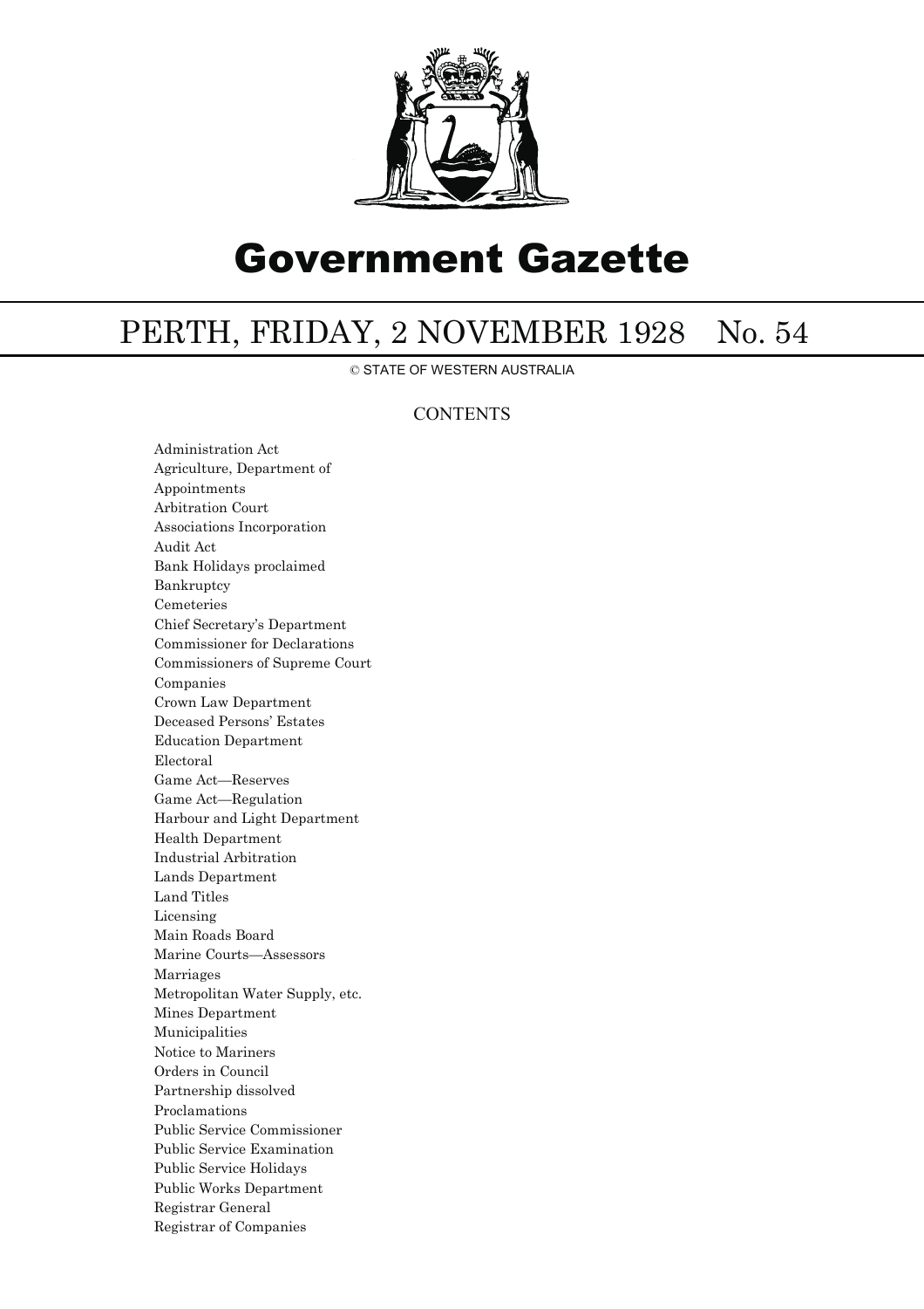

# Government Gazette

## PERTH, FRIDAY, 2 NOVEMBER 1928 No. 54

© STATE OF WESTERN AUSTRALIA

### **CONTENTS**

Administration Act Agriculture, Department of Appointments Arbitration Court Associations Incorporation Audit Act Bank Holidays proclaimed Bankruptcy Cemeteries Chief Secretary's Department Commissioner for Declarations Commissioners of Supreme Court Companies Crown Law Department Deceased Persons' Estates Education Department Electoral Game Act—Reserves Game Act—Regulation Harbour and Light Department Health Department Industrial Arbitration Lands Department Land Titles Licensing Main Roads Board Marine Courts—Assessors Marriages Metropolitan Water Supply, etc. Mines Department Municipalities Notice to Mariners Orders in Council Partnership dissolved Proclamations Public Service Commissioner Public Service Examination Public Service Holidays Public Works Department Registrar General Registrar of Companies